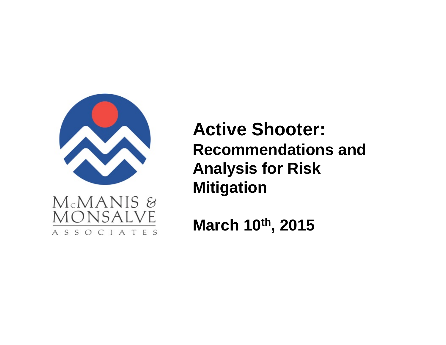

MONSALVE

ASSOCIATES

**Active Shooter: Recommendations and Analysis for Risk Mitigation**

**March 10th, 2015**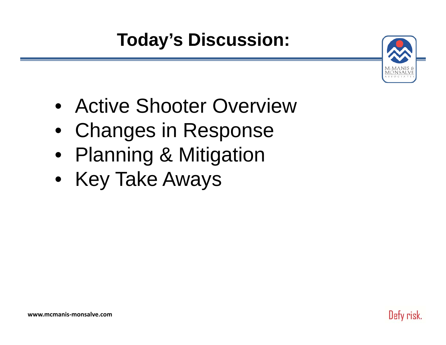**Today's Discussion:**



Defy risk.

- Active Shooter Overview
- Changes in Response
- Planning & Mitigation
- Key Take Aways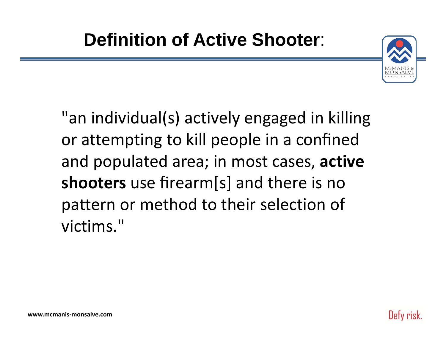

"an individual(s) actively engaged in killing or attempting to kill people in <sup>a</sup> confined and populated area; in most cases, **active shooters** use firearm[s] and there is no pattern or method to their selection of victims."

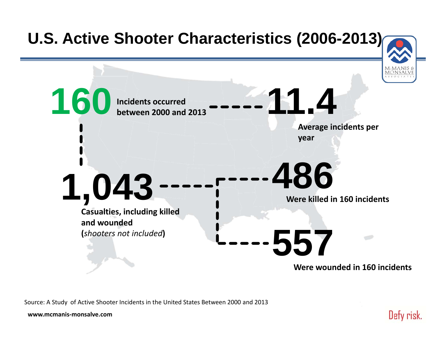

Source: A Study of Active Shooter Incidents in the United States Between 2000 and 2013

**www.mcmanis‐monsalve.com**

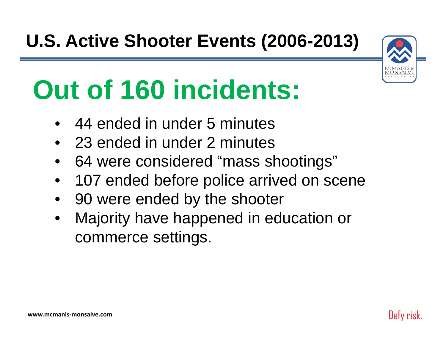

# **Out of 160 incidents:**

- •44 ended in under 5 minutes
- 23 ended in under 2 minutes
- •64 were considered "mass shootings"
- •107 ended before police arrived on scene
- •90 were ended by the shooter
- • Majority have happened in education or commerce settings.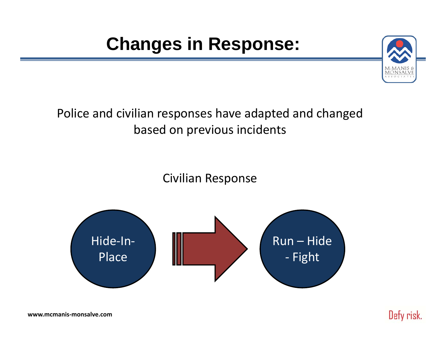# **Changes in Response:**



#### Police and civilian responses have adapted and changed based on previous incidents

Civilian Response



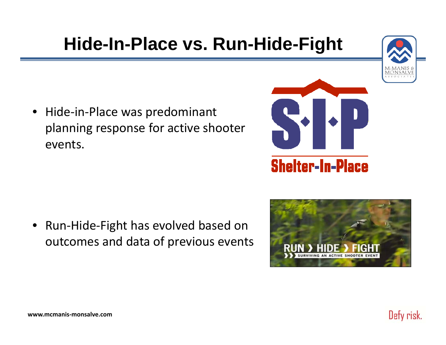### **Hide-In-Place vs. Run-Hide-Fight**



• Hide‐in‐Place was predominant planning response for active shooter events.

• Run‐Hide‐Fight has evolved based on outcomes and data of previous events



**Shelter-In-Place** 

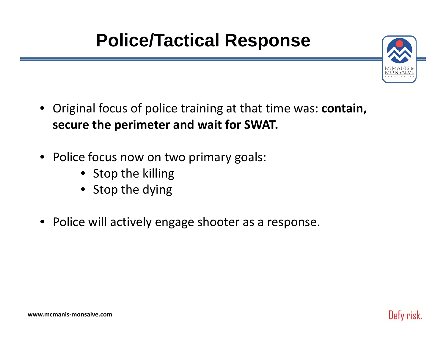# **Police/Tactical Response**



- • Original focus of police training at that time was: **contain, secure the perimeter and wait for SWAT.**
- Police focus now on two primary goals:
	- Stop the killing
	- Stop the dying
- Police will actively engage shooter as <sup>a</sup> response.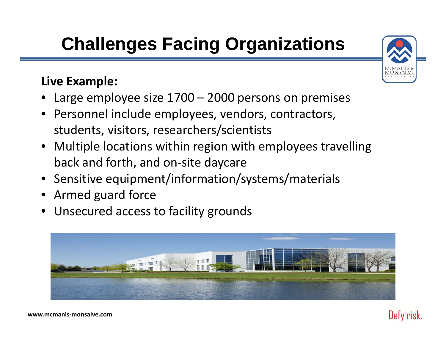# **Challenges Facing Organizations**

#### **Live Example:**

- •Large employee size 1700 – 2000 persons on premises
- Personnel include employees, vendors, contractors, students, visitors, researchers/scientists
- Multiple locations within region with employees travelling back and forth, and on‐site daycare
- Sensitive equipment/information/systems/materials
- Armed guard force
- Unsecured access to facility grounds





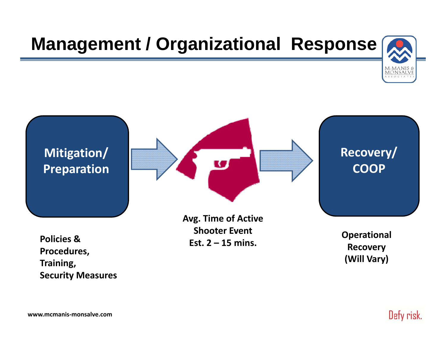# **Management / Organizational Response**





**Security Measures**

**www.mcmanis‐monsalve.com**

Defy risk.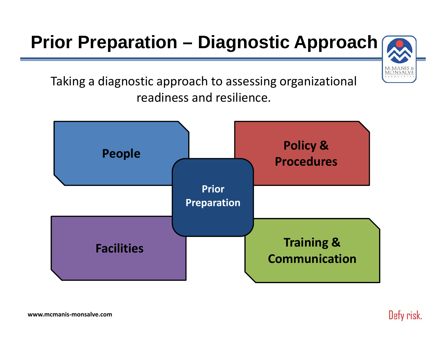# **Prior Preparation – Diagnostic Approach**



Taking <sup>a</sup> diagnostic approach to assessing organizational readiness and resilience.



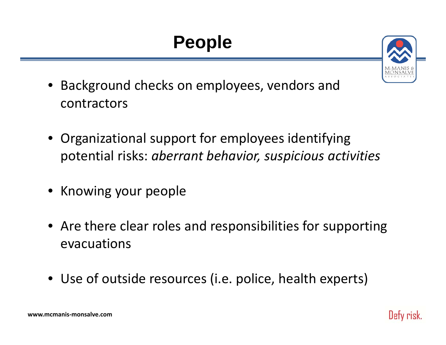# **People**



- • Background checks on employees, vendors and contractors
- • Organizational support for employees identifying potential risks: *aberrant behavior, suspicious activities*
- Knowing your people
- Are there clear roles and responsibilities for supporting evacuations
- Use of outside resources (i.e. police, health experts)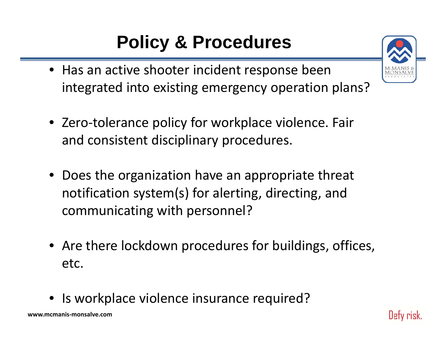# **Policy & Procedures**

- Has an active shooter incident response been integrated into existing emergency operation plans?
- Zero‐tolerance policy for workplace violence. Fair and consistent disciplinary procedures.
- Does the organization have an appropriate threat notification system(s) for alerting, directing, and communicating with personnel?
- Are there lockdown procedures for buildings, offices, etc.
- Is workplace violence insurance required?

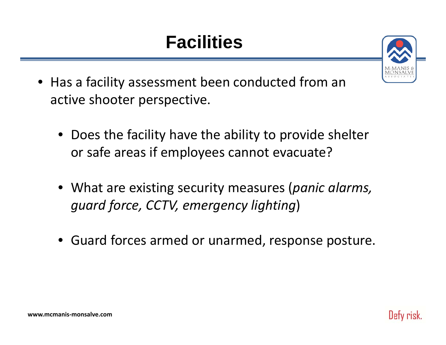# **Facilities**



- Has a facility assessment been conducted from an active shooter perspective.
	- Does the facility have the ability to provide shelter or safe areas if employees cannot evacuate?
	- What are existing security measures (*panic alarms, guard force, CCTV, emergency lighting*)
	- Guard forces armed or unarmed, response posture.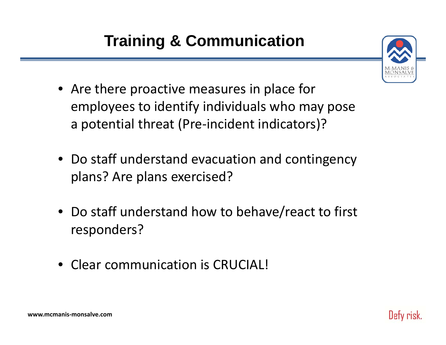### **Training & Communication**



Dety risk.

- Are there proactive measures in place for employees to identify individuals who may pose a potential threat (Pre‐incident indicators)?
- Do staff understand evacuation and contingency plans? Are plans exercised?
- Do staff understand how to behave/react to first responders?
- Clear communication is CRUCIAL!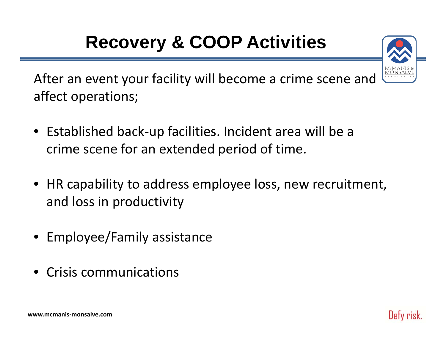# **Recovery & COOP Activities**



After an event your facility will become <sup>a</sup> crime scene and affect operations;

- Established back‐up facilities. Incident area will be <sup>a</sup> crime scene for an extended period of time.
- HR capability to address employee loss, new recruitment, and loss in productivity
- Employee/Family assistance
- •• Crisis communications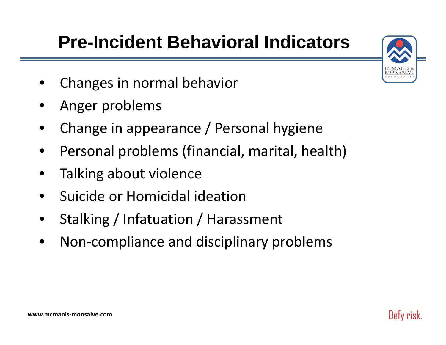# **Pre-Incident Behavioral Indicators**



- •Changes in normal behavior
- •Anger problems
- •Change in appearance / Personal hygiene
- •Personal problems (financial, marital, health)
- •Talking about violence
- •**•** Suicide or Homicidal ideation
- •Stalking / Infatuation / Harassment
- •Non‐compliance and disciplinary problems

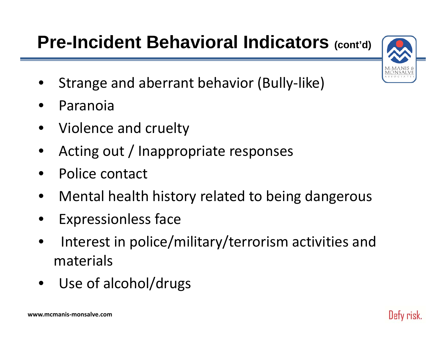# **Pre-Incident Behavioral Indicators (cont'd)**



- •Strange and aberrant behavior (Bully‐like)
- •Paranoia
- •• Violence and cruelty
- •Acting out / Inappropriate responses
- •• Police contact
- •Mental health history related to being dangerous
- •Expressionless face
- •• Interest in police/military/terrorism activities and materials
- •Use of alcohol/drugs

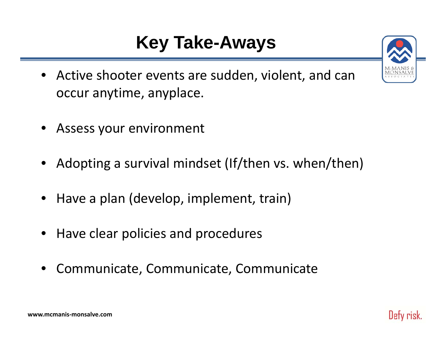# **Key Take-Aways**

- Active shooter events are sudden, violent, and can occur anytime, anyplace.
- Assess your environment
- Adopting <sup>a</sup> survival mindset (If/then vs. when/then)
- Have <sup>a</sup> plan (develop, implement, train)
- Have clear policies and procedures
- Communicate, Communicate, Communicate